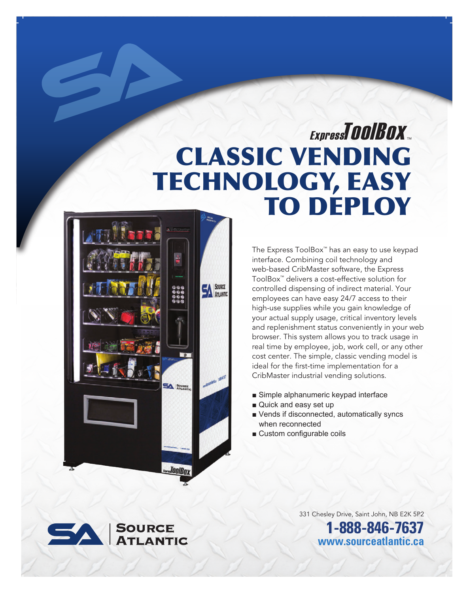# CLASSIC VENDING TECHNOLOGY, EASY TO DEPLOY ExpressTOOIBOX



The Express ToolBox™ has an easy to use keypad interface. Combining coil technology and web-based CribMaster software, the Express ToolBox™ delivers a cost-effective solution for controlled dispensing of indirect material. Your employees can have easy 24/7 access to their high-use supplies while you gain knowledge of your actual supply usage, critical inventory levels and replenishment status conveniently in your web browser. This system allows you to track usage in real time by employee, job, work cell, or any other cost center. The simple, classic vending model is ideal for the first-time implementation for a CribMaster industrial vending solutions.

- Simple alphanumeric keypad interface
- Quick and easy set up
- Vends if disconnected, automatically syncs when reconnected
- Custom configurable coils



331 Chesley Drive, Saint John, NB E2K 5P2 **1-888-846-7637 www.sourceatlantic.ca**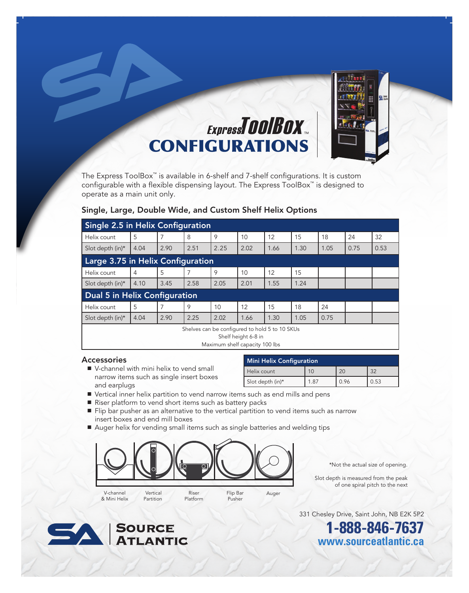

### ExpressTOOIBOX CONFIGURATIONS

The Express ToolBox™ is available in 6-shelf and 7-shelf configurations. It is custom configurable with a flexible dispensing layout. The Express ToolBox™ is designed to operate as a main unit only.

#### Single, Large, Double Wide, and Custom Shelf Helix Options

| <b>Single 2.5 in Helix Configuration</b>                                                                |      |      |      |      |      |      |      |      |      |      |
|---------------------------------------------------------------------------------------------------------|------|------|------|------|------|------|------|------|------|------|
| Helix count                                                                                             | 5    | 7    | 8    | 9    | 10   | 12   | 15   | 18   | 24   | 32   |
| Slot depth (in)*                                                                                        | 4.04 | 2.90 | 2.51 | 2.25 | 2.02 | 1.66 | 1.30 | 1.05 | 0.75 | 0.53 |
| Large 3.75 in Helix Configuration                                                                       |      |      |      |      |      |      |      |      |      |      |
| Helix count                                                                                             | 4    | 5    |      | 9    | 10   | 12   | 15   |      |      |      |
| Slot depth (in)*                                                                                        | 4.10 | 3.45 | 2.58 | 2.05 | 2.01 | 1.55 | 1.24 |      |      |      |
| Dual 5 in Helix Configuration                                                                           |      |      |      |      |      |      |      |      |      |      |
| Helix count                                                                                             | 5    |      | 9    | 10   | 12   | 15   | 18   | 24   |      |      |
| Slot depth (in)*                                                                                        | 4.04 | 2.90 | 2.25 | 2.02 | 1.66 | 1.30 | 1.05 | 0.75 |      |      |
| Shelves can be configured to hold 5 to 10 SKUs<br>Shelf height 6-8 in<br>Maximum shelf capacity 100 lbs |      |      |      |      |      |      |      |      |      |      |

#### Accessories

■ V-channel with mini helix to vend small narrow items such as single insert boxes and earplugs

| <b>Mini Helix Configuration</b> |     |      |      |  |  |  |  |
|---------------------------------|-----|------|------|--|--|--|--|
| Helix count                     |     |      | つつ   |  |  |  |  |
| Slot depth (in)*                | .87 | 0.96 | 0.53 |  |  |  |  |

- Vertical inner helix partition to vend narrow items such as end mills and pens
- Riser platform to vend short items such as battery packs
- Flip bar pusher as an alternative to the vertical partition to vend items such as narrow insert boxes and end mill boxes
- Auger helix for vending small items such as single batteries and welding tips



\*Not the actual size of opening.

 Slot depth is measured from the peak of one spiral pitch to the next

V-channel & Mini Helix

Partition

Platform

Pusher

Auger



331 Chesley Drive, Saint John, NB E2K 5P2

**1-888-846-7637 www.sourceatlantic.ca**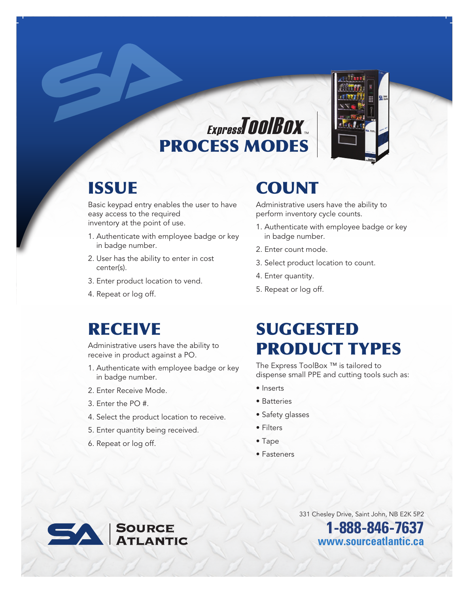

## ExpressTOOIBOX PROCESS MODES

#### **ISSUE**

Basic keypad entry enables the user to have easy access to the required inventory at the point of use.

- 1. Authenticate with employee badge or key in badge number.
- 2. User has the ability to enter in cost center(s).
- 3. Enter product location to vend.
- 4. Repeat or log off.

#### RECEIVE

Administrative users have the ability to receive in product against a PO.

- 1. Authenticate with employee badge or key in badge number.
- 2. Enter Receive Mode.
- 3. Enter the PO #.
- 4. Select the product location to receive.
- 5. Enter quantity being received.
- 6. Repeat or log off.

### **COUNT**

Administrative users have the ability to perform inventory cycle counts.

- 1. Authenticate with employee badge or key in badge number.
- 2. Enter count mode.
- 3. Select product location to count.
- 4. Enter quantity.
- 5. Repeat or log off.

### SUGGESTED PRODUCT TYPES

The Express ToolBox ™ is tailored to dispense small PPE and cutting tools such as:

- Inserts
- Batteries
- Safety glasses
- Filters
- Tape
- Fasteners

331 Chesley Drive, Saint John, NB E2K 5P2

**1-888-846-7637 www.sourceatlantic.ca**